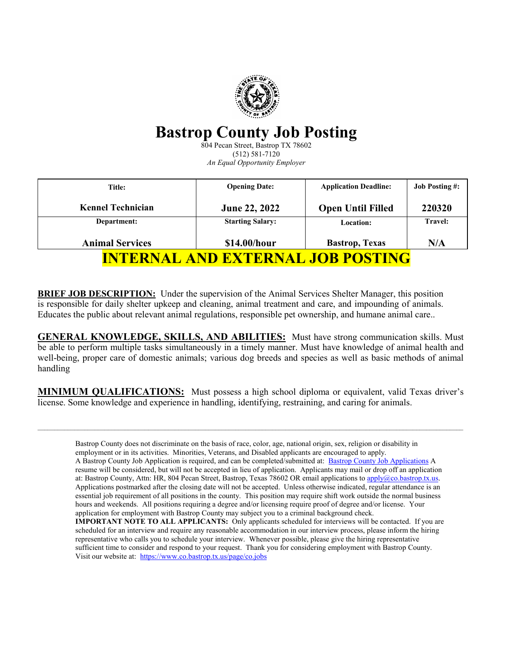

# **Bastrop County Job Posting**

804 Pecan Street, Bastrop TX 78602 (512) 581-7120 *An Equal Opportunity Employer*

| Title:                                   | <b>Opening Date:</b>    | <b>Application Deadline:</b> | <b>Job Posting #:</b> |
|------------------------------------------|-------------------------|------------------------------|-----------------------|
| <b>Kennel Technician</b>                 | June 22, 2022           | <b>Open Until Filled</b>     | 220320                |
| Department:                              | <b>Starting Salary:</b> | Location:                    | <b>Travel:</b>        |
| <b>Animal Services</b>                   | \$14.00/hour            | <b>Bastrop</b> , Texas       | N/A                   |
| <b>INTERNAL AND EXTERNAL JOB POSTING</b> |                         |                              |                       |

**BRIEF JOB DESCRIPTION:** Under the supervision of the Animal Services Shelter Manager, this position is responsible for daily shelter upkeep and cleaning, animal treatment and care, and impounding of animals. Educates the public about relevant animal regulations, responsible pet ownership, and humane animal care..

**GENERAL KNOWLEDGE, SKILLS, AND ABILITIES:** Must have strong communication skills. Must be able to perform multiple tasks simultaneously in a timely manner. Must have knowledge of animal health and well-being, proper care of domestic animals; various dog breeds and species as well as basic methods of animal handling

**MINIMUM QUALIFICATIONS:** Must possess a high school diploma or equivalent, valid Texas driver's license. Some knowledge and experience in handling, identifying, restraining, and caring for animals.

Bastrop County does not discriminate on the basis of race, color, age, national origin, sex, religion or disability in employment or in its activities. Minorities, Veterans, and Disabled applicants are encouraged to apply. A Bastrop County Job Application is required, and can be completed/submitted at: [Bastrop County Job Applications](https://powerforms.docusign.net/a7d71333-73b6-4ae5-b3d7-a59c651de914?accountId=a4f9a906-cb61-4c72-92d4-52fc7e3ee681&env=na3) A resume will be considered, but will not be accepted in lieu of application. Applicants may mail or drop off an application at: Bastrop County, Attn: HR, 804 Pecan Street, Bastrop, Texas 78602 OR email applications t[o apply@co.bastrop.tx.us.](mailto:apply@co.bastrop.tx.us) Applications postmarked after the closing date will not be accepted. Unless otherwise indicated, regular attendance is an essential job requirement of all positions in the county. This position may require shift work outside the normal business hours and weekends. All positions requiring a degree and/or licensing require proof of degree and/or license. Your application for employment with Bastrop County may subject you to a criminal background check. **IMPORTANT NOTE TO ALL APPLICANTS:** Only applicants scheduled for interviews will be contacted. If you are scheduled for an interview and require any reasonable accommodation in our interview process, please inform the hiring representative who calls you to schedule your interview. Whenever possible, please give the hiring representative sufficient time to consider and respond to your request. Thank you for considering employment with Bastrop County. Visit our website at: <https://www.co.bastrop.tx.us/page/co.jobs>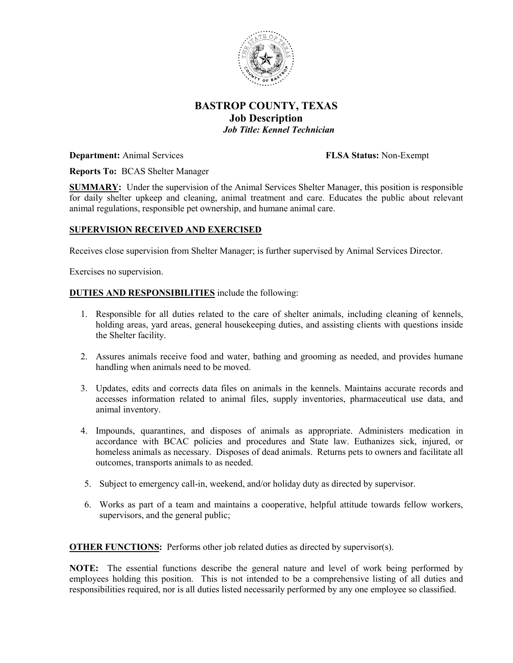

## **BASTROP COUNTY, TEXAS Job Description** *Job Title: Kennel Technician*

**Department:** Animal Services **FLSA Status:** Non-Exempt

**Reports To:** BCAS Shelter Manager

**SUMMARY:** Under the supervision of the Animal Services Shelter Manager, this position is responsible for daily shelter upkeep and cleaning, animal treatment and care. Educates the public about relevant animal regulations, responsible pet ownership, and humane animal care.

### **SUPERVISION RECEIVED AND EXERCISED**

Receives close supervision from Shelter Manager; is further supervised by Animal Services Director.

Exercises no supervision.

#### **DUTIES AND RESPONSIBILITIES** include the following:

- 1. Responsible for all duties related to the care of shelter animals, including cleaning of kennels, holding areas, yard areas, general housekeeping duties, and assisting clients with questions inside the Shelter facility.
- 2. Assures animals receive food and water, bathing and grooming as needed, and provides humane handling when animals need to be moved.
- 3. Updates, edits and corrects data files on animals in the kennels. Maintains accurate records and accesses information related to animal files, supply inventories, pharmaceutical use data, and animal inventory.
- 4. Impounds, quarantines, and disposes of animals as appropriate. Administers medication in accordance with BCAC policies and procedures and State law. Euthanizes sick, injured, or homeless animals as necessary. Disposes of dead animals. Returns pets to owners and facilitate all outcomes, transports animals to as needed.
- 5. Subject to emergency call-in, weekend, and/or holiday duty as directed by supervisor.
- 6. Works as part of a team and maintains a cooperative, helpful attitude towards fellow workers, supervisors, and the general public;

**OTHER FUNCTIONS:** Performs other job related duties as directed by supervisor(s).

**NOTE:** The essential functions describe the general nature and level of work being performed by employees holding this position. This is not intended to be a comprehensive listing of all duties and responsibilities required, nor is all duties listed necessarily performed by any one employee so classified.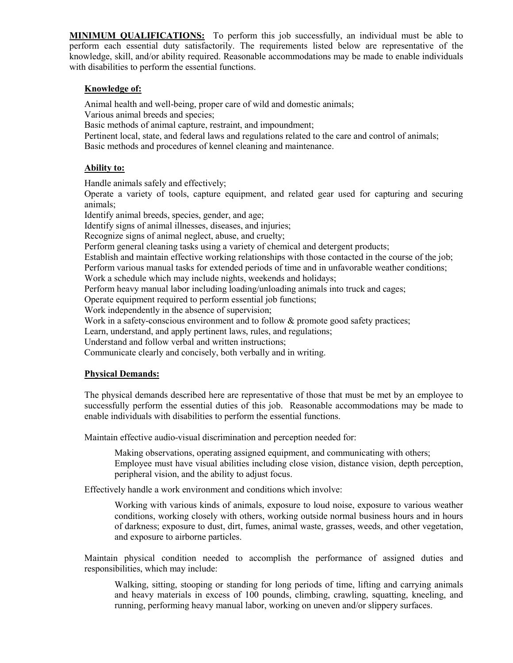**MINIMUM QUALIFICATIONS:** To perform this job successfully, an individual must be able to perform each essential duty satisfactorily. The requirements listed below are representative of the knowledge, skill, and/or ability required. Reasonable accommodations may be made to enable individuals with disabilities to perform the essential functions.

#### **Knowledge of:**

Animal health and well-being, proper care of wild and domestic animals;

Various animal breeds and species;

Basic methods of animal capture, restraint, and impoundment;

Pertinent local, state, and federal laws and regulations related to the care and control of animals; Basic methods and procedures of kennel cleaning and maintenance.

#### **Ability to:**

Handle animals safely and effectively;

Operate a variety of tools, capture equipment, and related gear used for capturing and securing animals;

Identify animal breeds, species, gender, and age;

Identify signs of animal illnesses, diseases, and injuries;

Recognize signs of animal neglect, abuse, and cruelty;

Perform general cleaning tasks using a variety of chemical and detergent products;

Establish and maintain effective working relationships with those contacted in the course of the job;

Perform various manual tasks for extended periods of time and in unfavorable weather conditions;

Work a schedule which may include nights, weekends and holidays;

Perform heavy manual labor including loading/unloading animals into truck and cages;

Operate equipment required to perform essential job functions;

Work independently in the absence of supervision;

Work in a safety-conscious environment and to follow & promote good safety practices;

Learn, understand, and apply pertinent laws, rules, and regulations;

Understand and follow verbal and written instructions;

Communicate clearly and concisely, both verbally and in writing.

### **Physical Demands:**

The physical demands described here are representative of those that must be met by an employee to successfully perform the essential duties of this job. Reasonable accommodations may be made to enable individuals with disabilities to perform the essential functions.

Maintain effective audio-visual discrimination and perception needed for:

Making observations, operating assigned equipment, and communicating with others; Employee must have visual abilities including close vision, distance vision, depth perception, peripheral vision, and the ability to adjust focus.

Effectively handle a work environment and conditions which involve:

Working with various kinds of animals, exposure to loud noise, exposure to various weather conditions, working closely with others, working outside normal business hours and in hours of darkness; exposure to dust, dirt, fumes, animal waste, grasses, weeds, and other vegetation, and exposure to airborne particles.

Maintain physical condition needed to accomplish the performance of assigned duties and responsibilities, which may include:

Walking, sitting, stooping or standing for long periods of time, lifting and carrying animals and heavy materials in excess of 100 pounds, climbing, crawling, squatting, kneeling, and running, performing heavy manual labor, working on uneven and/or slippery surfaces.